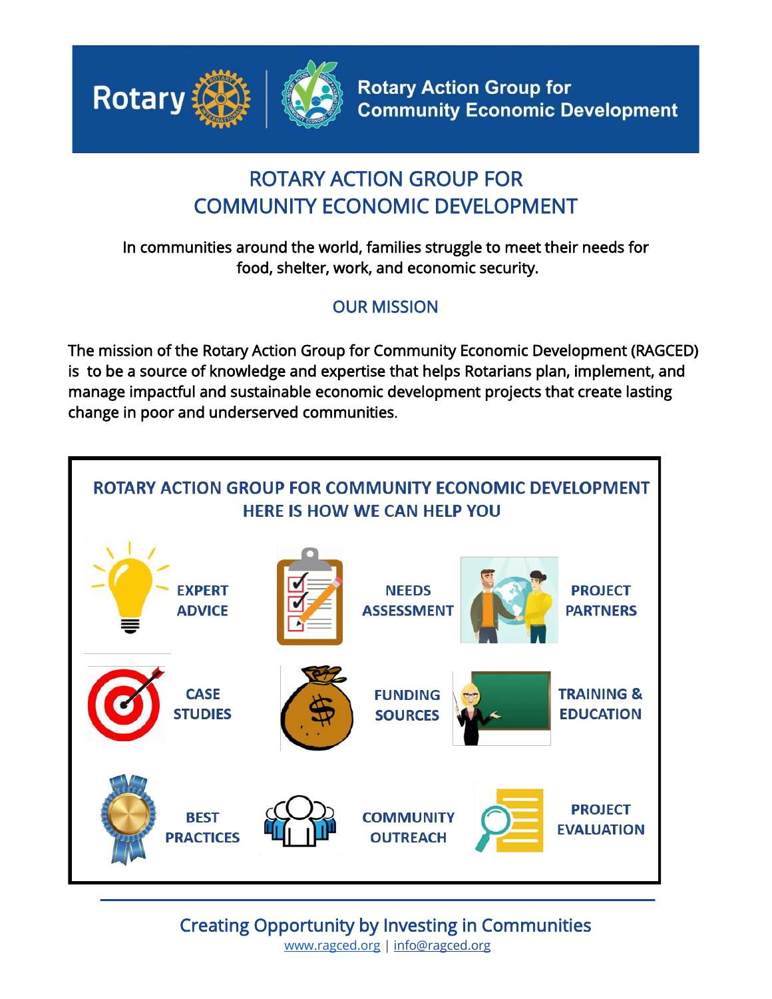

## ROTARY ACTION GROUP FOR COMMUNITY ECONOMIC DEVELOPMENT

In communities around the world, families struggle to meet their needs for food, shelter, work, and economic security.

## OUR MISSION

The mission of the Rotary Action Group for Community Economic Development (RAGCED) is to be a source of knowledge and expertise that helps Rotarians plan, implement, and manage impactful and sustainable economic development projects that create lasting change in poor and underserved communities.



Creating Opportunity by Investing in Communities [www.ragced.org](http://www.ragced.org/) | info@ragced.org